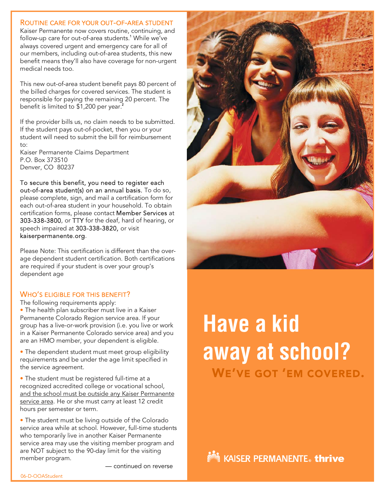### ROUTINE CARE FOR YOUR OUT-OF-AREA STUDENT

Kaiser Permanente now covers routine, continuing, and follow-up care for out-of-area students.<sup>1</sup> While we've always covered urgent and emergency care for all of our members, including out-of-area students, this new benefit means they'll also have coverage for non-urgent medical needs too.

This new out-of-area student benefit pays 80 percent of the billed charges for covered services. The student is responsible for paying the remaining 20 percent. The benefit is limited to \$1,200 per year. 2 i.

If the provider bills us, no claim needs to be submitted. If the student pays out-of-pocket, then you or your student will need to submit the bill for reimbursement to:

Kaiser Permanente Claims Department P.O. Box 373510 Denver, CO 80237

To secure this benefit, you need to register each out-of-area student(s) on an annual basis. To do so, please complete, sign, and mail a certification form for each out-of-area student in your household. To obtain certification forms, please contact Member Services at 303-338-3800, or TTY for the deaf, hard of hearing, or speech impaired at 303-338-3820, or visit kaiserpermanente.org.

Please Note: This certification is different than the overage dependent student certification. Both certifications are required if your student is over your group's dependent age

# WHO'S ELIGIBLE FOR THIS BENEFIT?

The following requirements apply:

• The health plan subscriber must live in a Kaiser Permanente Colorado Region service area. If your group has a live-or-work provision (i.e. you live or work in a Kaiser Permanente Colorado service area) and you are an HMO member, your dependent is eligible.

• The dependent student must meet group eligibility requirements and be under the age limit specified in the service agreement.

• The student must be registered full-time at a recognized accredited college or vocational school, and the school must be outside any Kaiser Permanente service area. He or she must carry at least 12 credit hours per semester or term.

• The student must be living outside of the Colorado service area while at school. However, full-time students who temporarily live in another Kaiser Permanente service area may use the visiting member program and are NOT subject to the 90-day limit for the visiting member program.

— continued on reverse



# **Have a kid away at school?** WE'VE GOT 'EM COVERED.

**NMM** KAISER PERMANENTE。 **thrive**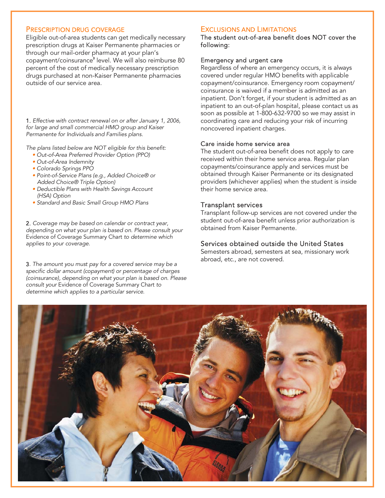#### PRESCRIPTION DRUG COVERAGE

Eligible out-of-area students can get medically necessary prescription drugs at Kaiser Permanente pharmacies or through our mail-order pharmacy at your plan's copayment/coinsurance3 level. We will also reimburse 80 percent of the cost of medically necessary prescription drugs purchased at non-Kaiser Permanente pharmacies outside of our service area.

1. *Effective with contract renewal on or after January 1, 2006, for large and small commercial HMO group and Kaiser Permanente for Individuals and Families plans.* 

*The plans listed below are NOT eligible for this benefit:*

- *• Out-of-Area Preferred Provider Option (PPO)*
- *Out-of-Area Indemnity*
- *Colorado Springs PPO*
- *Point-of-Service Plans (e.g., Added Choice® or Added Choice® Triple Option)*
- *Deductible Plans with Health Savings Account (HSA) Option*
- *Standard and Basic Small Group HMO Plans*

2. *Coverage may be based on calendar or contract year, depending on what your plan is based on. Please consult your* Evidence of Coverage Summary Chart *to determine which applies to your coverage.*

3. *The amount you must pay for a covered service may be a specific dollar amount (copayment) or percentage of charges (coinsurance), depending on what your plan is based on. Please consult your* Evidence of Coverage Summary Chart *to determine which applies to a particular service.*

#### EXCLUSIONS AND LIMITATIONS

The student out-of-area benefit does NOT cover the following:

#### Emergency and urgent care

Regardless of where an emergency occurs, it is always covered under regular HMO benefits with applicable copayment/coinsurance. Emergency room copayment/ coinsurance is waived if a member is admitted as an inpatient. Don't forget, if your student is admitted as an inpatient to an out-of-plan hospital, please contact us as soon as possible at 1-800-632-9700 so we may assist in coordinating care and reducing your risk of incurring noncovered inpatient charges.

#### Care inside home service area

The student out-of-area benefit does not apply to care received within their home service area. Regular plan copayments/coinsurance apply and services must be obtained through Kaiser Permanente or its designated providers (whichever applies) when the student is inside their home service area.

#### Transplant services

Transplant follow-up services are not covered under the student out-of-area benefit unless prior authorization is obtained from Kaiser Permanente.

## Services obtained outside the United States

Semesters abroad, semesters at sea, missionary work abroad, etc., are not covered.